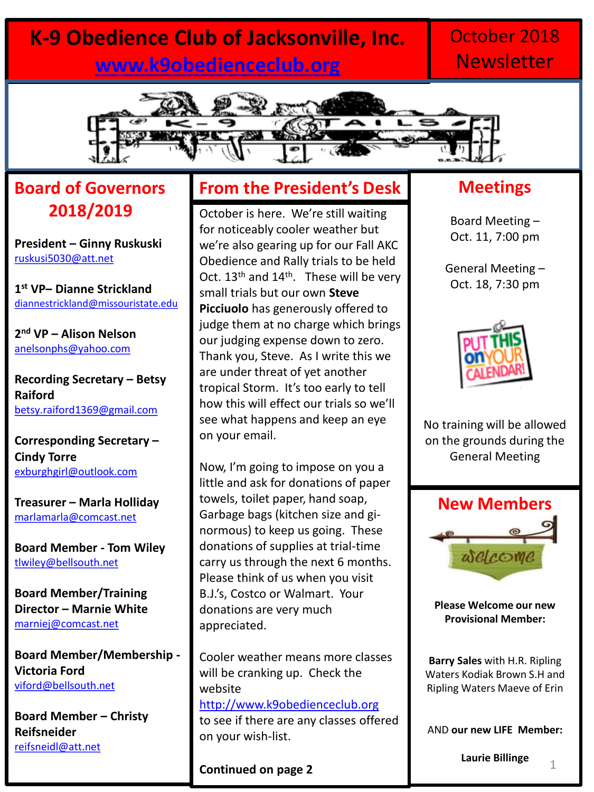# **K-9 Obedience Club of Jacksonville, Inc. [www.k9obedienceclub.org](http://www.k9obedienceclub.org/)**

# October 2018 **Newsletter**



## **Board of Governors 2018/2019**

**President – Ginny Ruskuski** [ruskusi5030@att.net](mailto:ruskusi5030@att.net)

**1 st VP– Dianne Strickland** [diannestrickland@missouristate.edu](mailto:diannestrickland@missouristate.edu)

**2 nd VP – Alison Nelson** [anelsonphs@yahoo.com](mailto:anelsonphs@yahoo.com)

**Recording Secretary – Betsy Raiford** [betsy.raiford1369@gmail.com](mailto:betsy.raiford1369@gmail.com)

**Corresponding Secretary – Cindy Torre** [exburghgirl@outlook.com](mailto:exburghgirl@outlook.com)

**Treasurer – Marla Holliday** [marlamarla@comcast.net](mailto:marlamarla@comcast.net)

**Board Member - Tom Wiley** [tlwiley@bellsouth.net](mailto:tlwiley@bellsouth.net)

**Board Member/Training Director – Marnie White**  [marniej@comcast.net](mailto:marniej@comcast.net)

**Board Member/Membership - Victoria Ford** [viford@bellsouth.net](mailto:viford@bellsouth.net)

**Board Member – Christy Reifsneider** [reifsneidl@att.net](mailto:reifsneidl@att.net)

## **From the President's Desk**

October is here. We're still waiting for noticeably cooler weather but we're also gearing up for our Fall AKC Obedience and Rally trials to be held Oct.  $13<sup>th</sup>$  and  $14<sup>th</sup>$ . These will be very small trials but our own **Steve Picciuolo** has generously offered to judge them at no charge which brings our judging expense down to zero. Thank you, Steve. As I write this we are under threat of yet another tropical Storm. It's too early to tell how this will effect our trials so we'll see what happens and keep an eye on your email.

Now, I'm going to impose on you a little and ask for donations of paper towels, toilet paper, hand soap, Garbage bags (kitchen size and ginormous) to keep us going. These donations of supplies at trial-time carry us through the next 6 months. Please think of us when you visit B.J.'s, Costco or Walmart. Your donations are very much appreciated.

Cooler weather means more classes will be cranking up. Check the website [http://www.k9obedienceclub.org](http://www.k9obedienceclub.org/) to see if there are any classes offered on your wish-list.

**Continued on page 2**

## **Meetings**

Board Meeting – Oct. 11, 7:00 pm

General Meeting – Oct. 18, 7:30 pm



No training will be allowed on the grounds during the General Meeting



**Please Welcome our new Provisional Member:**

**Barry Sales** with H.R. Ripling Waters Kodiak Brown S.H and Ripling Waters Maeve of Erin

AND **our new LIFE Member:**

**Laurie Billinge**

1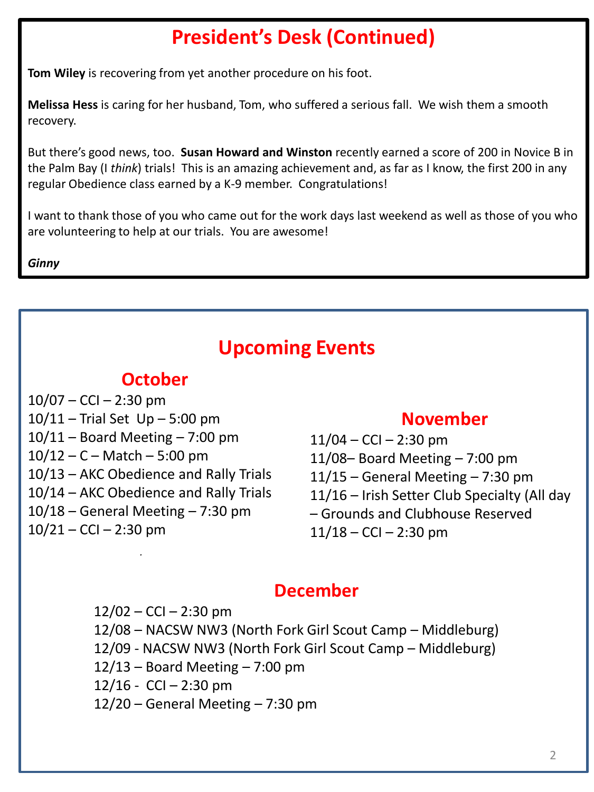# **President's Desk (Continued)**

**Tom Wiley** is recovering from yet another procedure on his foot.

**Melissa Hess** is caring for her husband, Tom, who suffered a serious fall. We wish them a smooth recovery.

But there's good news, too. **Susan Howard and Winston** recently earned a score of 200 in Novice B in the Palm Bay (I *think*) trials! This is an amazing achievement and, as far as I know, the first 200 in any regular Obedience class earned by a K-9 member. Congratulations!

I want to thank those of you who came out for the work days last weekend as well as those of you who are volunteering to help at our trials. You are awesome!

*Ginny*

# **Upcoming Events**

## **October**

 $10/07 - CCl - 2:30$  pm 10/11 – Trial Set Up – 5:00 pm  $10/11 -$  Board Meeting  $-7:00$  pm  $10/12 - C -$  Match  $-5:00$  pm 10/13 – AKC Obedience and Rally Trials 10/14 – AKC Obedience and Rally Trials  $10/18$  – General Meeting – 7:30 pm  $10/21 - CCl - 2:30$  pm

*.* 

#### **November**

 $11/04 - CCl - 2:30$  pm 11/08– Board Meeting – 7:00 pm  $11/15$  – General Meeting – 7:30 pm 11/16 – Irish Setter Club Specialty (All day – Grounds and Clubhouse Reserved  $11/18 - CCl - 2:30$  pm

## **December**

 $12/02 - CCl - 2:30$  pm 12/08 – NACSW NW3 (North Fork Girl Scout Camp – Middleburg) 12/09 - NACSW NW3 (North Fork Girl Scout Camp – Middleburg)  $12/13$  – Board Meeting – 7:00 pm 12/16 - CCI  $-$  2:30 pm  $12/20$  – General Meeting – 7:30 pm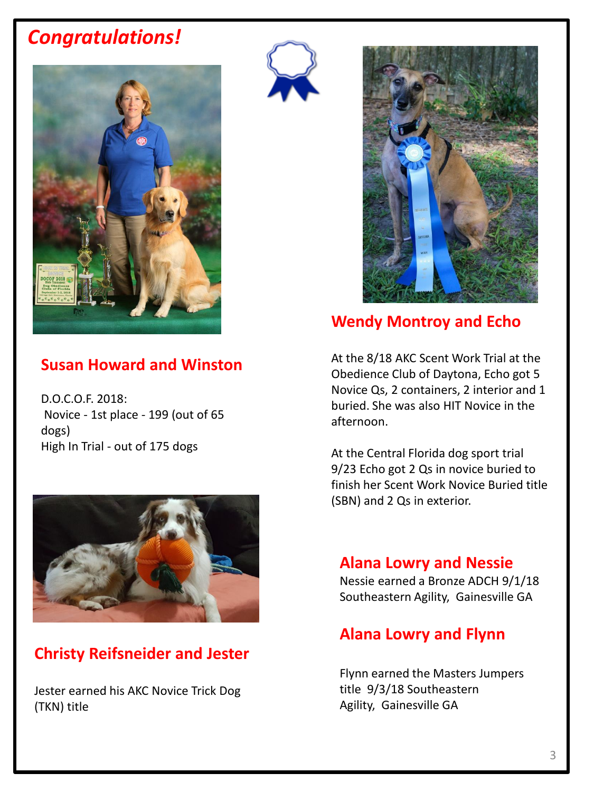# *Congratulations!*



#### **Susan Howard and Winston**

D.O.C.O.F. 2018: Novice - 1st place - 199 (out of 65 dogs) High In Trial - out of 175 dogs



#### **Christy Reifsneider and Jester**

Jester earned his AKC Novice Trick Dog (TKN) title





#### **Wendy Montroy and Echo**

At the 8/18 AKC Scent Work Trial at the Obedience Club of Daytona, Echo got 5 Novice Qs, 2 containers, 2 interior and 1 buried. She was also HIT Novice in the afternoon.

At the Central Florida dog sport trial 9/23 Echo got 2 Qs in novice buried to finish her Scent Work Novice Buried title (SBN) and 2 Qs in exterior.

#### **Alana Lowry and Nessie**

Nessie earned a Bronze ADCH 9/1/18 Southeastern Agility, Gainesville GA

#### **Alana Lowry and Flynn**

Flynn earned the Masters Jumpers title 9/3/18 Southeastern Agility, Gainesville GA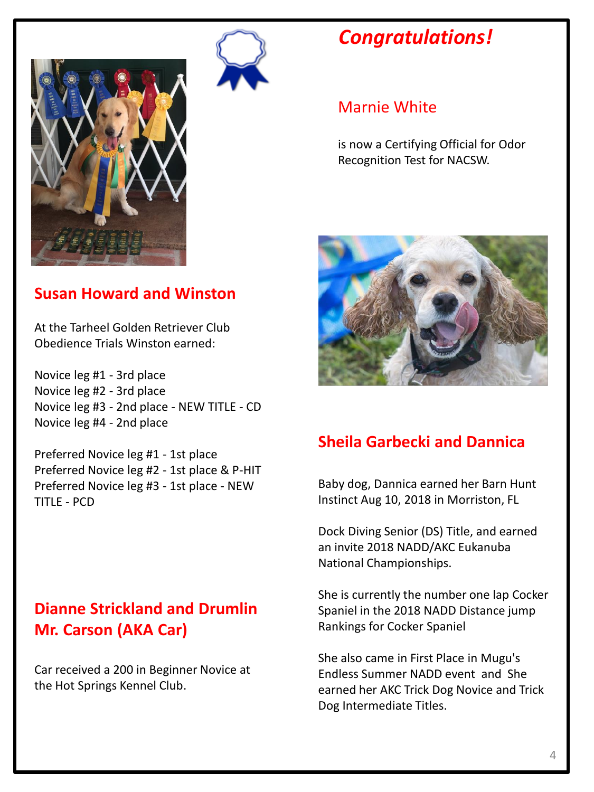

# *Congratulations!*

#### Marnie White

is now a Certifying Official for Odor Recognition Test for NACSW.



## **Susan Howard and Winston**

At the Tarheel Golden Retriever Club Obedience Trials Winston earned:

Novice leg #1 - 3rd place Novice leg #2 - 3rd place Novice leg #3 - 2nd place - NEW TITLE - CD Novice leg #4 - 2nd place

Preferred Novice leg #1 - 1st place Preferred Novice leg #2 - 1st place & P-HIT Preferred Novice leg #3 - 1st place - NEW TITLE - PCD

## **Dianne Strickland and Drumlin Mr. Carson (AKA Car)**

Car received a 200 in Beginner Novice at the Hot Springs Kennel Club.

## **Sheila Garbecki and Dannica**

Baby dog, Dannica earned her Barn Hunt Instinct Aug 10, 2018 in Morriston, FL

Dock Diving Senior (DS) Title, and earned an invite 2018 NADD/AKC Eukanuba National Championships.

She is currently the number one lap Cocker Spaniel in the 2018 NADD Distance jump Rankings for Cocker Spaniel

She also came in First Place in Mugu's Endless Summer NADD event and She earned her AKC Trick Dog Novice and Trick Dog Intermediate Titles.